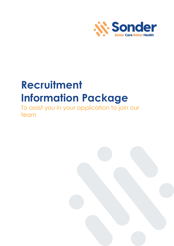

# **Recruitment Information Package**

To assist you in your application to join our team

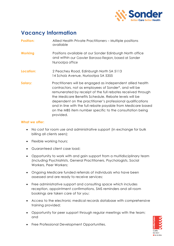

### **Vacancy Information**

| <b>Position:</b> | Allied Health Private Practitioners – Multiple positions |
|------------------|----------------------------------------------------------|
|                  | available                                                |

- **Working** Positions available at our Sonder Edinburgh North office and within our Gawler Barossa Region, based at Sonder Nuriootpa office
- **Location:** 2 Peachey Road, Edinburgh North SA 5113 14 Scholz Avenue, Nuriootpa SA 5355
- **Salary:** Practitioners will be engaged as independent allied health contractors, not as employees of Sonder\*, and will be remunerated by receipt of the full rebates received through the Medicare Benefits Schedule. Rebate levels will be dependent on the practitioner's professional qualifications and in line with the full rebate payable from Medicare based on the MBS item number specific to the consultation being provided.

#### **What we offer:**

- No cost for room use and administrative support (in exchange for bulk billing all clients seen);
- Flexible working hours;
- Guaranteed client case load;
- Opportunity to work with and gain support from a multidisciplinary team (including Psychiatrists, General Practitioners, Psychologists, Social Workers, Peer Workers;
- Ongoing Medicare funded referrals of individuals who have been assessed and are ready to receive services;
- Free administrative support and consulting space which includes reception, appointment confirmations, SMS reminders and all room bookings are taken care of for you;
- Access to the electronic medical records database with comprehensive training provided;
- Opportunity for peer support through regular meetings with the team; and



• Free Professional Development Opportunities.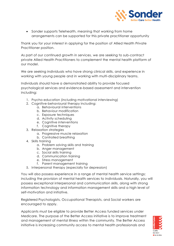

• Sonder supports Telehealth, meaning that working from home arrangements can be supported for this private practitioner opportunity

Thank you for your interest in applying for the position of Allied Health Private Practitioner position.

As part of our continued growth in services, we are seeking to sub-contract private Allied Health Practitioners to complement the mental health platform of our model.

We are seeking individuals who have strong clinical skills, and experience in working with young people and in working with multi-disciplinary teams.

Individuals should have a demonstrated ability to provide focused psychological services and evidence-based assessment and intervention including:

- 1. Psycho-education (including motivational interviewing)
- 2. Cognitive-behavioural therapy including:
	- a. Behavioural interventions
	- b. Behaviour modification
	- c. Exposure techniques
	- d. Activity scheduling
	- e. Cognitive interventions
	- f. Cognitive therapy
- 3. Relaxation strategies
	- a. Progressive muscle relaxation
	- b. Controlled breathing
- 4. Skills training
	- a. Problem solving skills and training
	- b. Anger management
	- c. Social skills training
	- d. Communication training
	- e. Stress management
	- f. Parent management training
- 5. Interpersonal therapy (especially for depression)

You will also possess experience in a range of mental health service settings; including the provision of mental health services to individuals. Naturally, you will possess exceptional interpersonal and communication skills, along with strong information technology and information management skills and a high level of self-motivation and initiative.

Registered Psychologists, Occupational Therapists, and Social workers are encouraged to apply.

Applicants must be eligible to provide Better Access funded services under Medicare. The purpose of the Better Access initiative is to improve treatment and management of mental illness within the community. The Better Access initiative is increasing community access to mental health professionals and

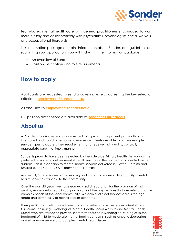

team-based mental health care, with general practitioners encouraged to work more closely and collaboratively with psychiatrists, psychologists, social workers and occupational therapists.

This information package contains information about Sonder, and guidelines on submitting your application. You will find within the information package:

- An overview of Sonder
- Position description and role requirements

# **How to apply**

Applicants are requested to send a covering letter, addressing the key selection criteria to [employment@sonder.net.au.](mailto:employment@sonder.net.au)

All enquiries to **employment@sonder.net.au**.

Full position descriptions are available at **[sonder.net.au/careers](http://www.sonder.net.au/careers)**

## **About us**

At Sonder, our diverse team is committed to improving the patient journey through integrated and coordinated care to ensure our clients are able to access multiple service types to address their requirements and receive high quality, culturally appropriate care in a timely manner.

Sonder is proud to have been selected by the Adelaide Primary Health Network as the preferred provider to deliver mental health services in the northern and central western suburbs. This is in addition to mental health services delivered in Gawler-Barossa and funded by the Country SA Primary Health Network.

As a result, Sonder is one of the leading and largest providers of high quality, mental health services available to the community.

Over the past 25 years, we have earned a solid reputation for the provision of high quality, evidence-based clinical psychological therapy services that are relevant to the complex needs of the local community. We deliver clinical services across the age range and complexity of mental health concerns.

Therapeutic counselling is delivered by highly skilled and experienced Mental Health Clinicians, including Psychologists, Mental Health Social Workers and Mental Health Nurses who are trained to provide short term focused psychological strategies in the treatment of mild to moderate mental health concerns, such as anxiety, depression as well as more severe and complex mental health issues.